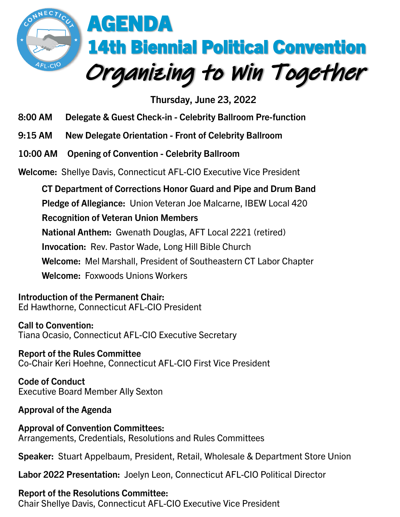

**Thursday, June 23, 2022**

- **8:00 AM Delegate & Guest Check-in - Celebrity Ballroom Pre-function**
- **9:15 AM New Delegate Orientation - Front of Celebrity Ballroom**
- **10:00 AM Opening of Convention - Celebrity Ballroom**

**Welcome:** Shellye Davis, Connecticut AFL-CIO Executive Vice President

**CT Department of Corrections Honor Guard and Pipe and Drum Band Pledge of Allegiance:** Union Veteran Joe Malcarne, IBEW Local 420 **Recognition of Veteran Union Members National Anthem:** Gwenath Douglas, AFT Local 2221 (retired) **Invocation:** Rev. Pastor Wade, Long Hill Bible Church **Welcome:** Mel Marshall, President of Southeastern CT Labor Chapter **Welcome:** Foxwoods Unions Workers

**Introduction of the Permanent Chair:** Ed Hawthorne, Connecticut AFL-CIO President

**Call to Convention:** Tiana Ocasio, Connecticut AFL-CIO Executive Secretary

**Report of the Rules Committee**  Co-Chair Keri Hoehne, Connecticut AFL-CIO First Vice President

**Code of Conduct** Executive Board Member Ally Sexton

**Approval of the Agenda**

**Approval of Convention Committees:**  Arrangements, Credentials, Resolutions and Rules Committees

**Speaker:** Stuart Appelbaum, President, Retail, Wholesale & Department Store Union

**Labor 2022 Presentation:** Joelyn Leon, Connecticut AFL-CIO Political Director

**Report of the Resolutions Committee:**

Chair Shellye Davis, Connecticut AFL-CIO Executive Vice President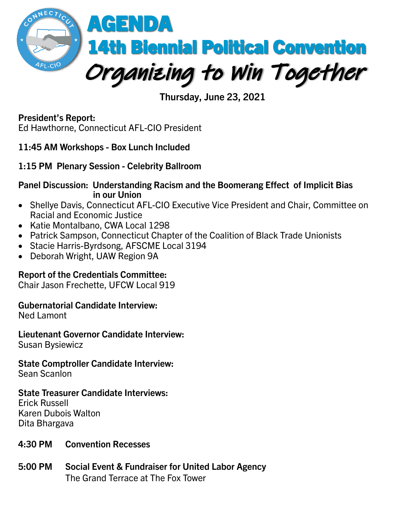

**Thursday, June 23, 2021**

**President's Report:** Ed Hawthorne, Connecticut AFL-CIO President

**11:45 AM Workshops - Box Lunch Included**

**1:15 PM Plenary Session - Celebrity Ballroom**

**Panel Discussion: Understanding Racism and the Boomerang Effect of Implicit Bias in our Union**

- Shellye Davis, Connecticut AFL-CIO Executive Vice President and Chair, Committee on Racial and Economic Justice
- Katie Montalbano, CWA Local 1298
- Patrick Sampson, Connecticut Chapter of the Coalition of Black Trade Unionists
- Stacie Harris-Byrdsong, AFSCME Local 3194
- Deborah Wright, UAW Region 9A

### **Report of the Credentials Committee:**

Chair Jason Frechette, UFCW Local 919

#### **Gubernatorial Candidate Interview:**

Ned Lamont

**Lieutenant Governor Candidate Interview:** Susan Bysiewicz

**State Comptroller Candidate Interview:**

Sean Scanlon

#### **State Treasurer Candidate Interviews:**

Erick Russell Karen Dubois Walton Dita Bhargava

- **4:30 PM Convention Recesses**
- **5:00 PM Social Event & Fundraiser for United Labor Agency** The Grand Terrace at The Fox Tower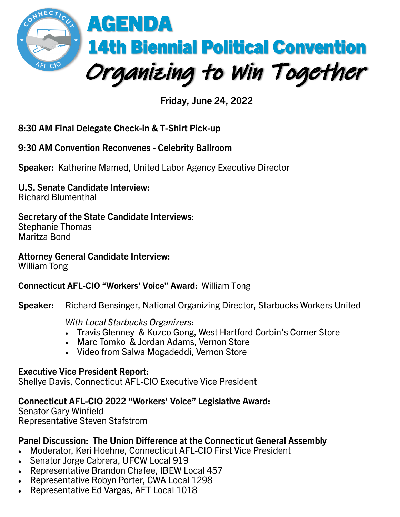

**Friday, June 24, 2022**

# **8:30 AM Final Delegate Check-in & T-Shirt Pick-up**

### **9:30 AM Convention Reconvenes - Celebrity Ballroom**

**Speaker:** Katherine Mamed, United Labor Agency Executive Director

# **U.S. Senate Candidate Interview:**

Richard Blumenthal

## **Secretary of the State Candidate Interviews:**

Stephanie Thomas Maritza Bond

# **Attorney General Candidate Interview:**

William Tong

### **Connecticut AFL-CIO "Workers' Voice" Award:** William Tong

**Speaker:** Richard Bensinger, National Organizing Director, Starbucks Workers United

#### *With Local Starbucks Organizers:*

- Travis Glenney & Kuzco Gong, West Hartford Corbin's Corner Store
- Marc Tomko & Jordan Adams, Vernon Store
- Video from Salwa Mogadeddi, Vernon Store

### **Executive Vice President Report:**

Shellye Davis, Connecticut AFL-CIO Executive Vice President

## **Connecticut AFL-CIO 2022 "Workers' Voice" Legislative Award:**

Senator Gary Winfield Representative Steven Stafstrom

### **Panel Discussion: The Union Difference at the Connecticut General Assembly**

- Moderator, Keri Hoehne, Connecticut AFL-CIO First Vice President
- Senator Jorge Cabrera, UFCW Local 919
- Representative Brandon Chafee, IBEW Local 457
- Representative Robyn Porter, CWA Local 1298
- Representative Ed Vargas, AFT Local 1018